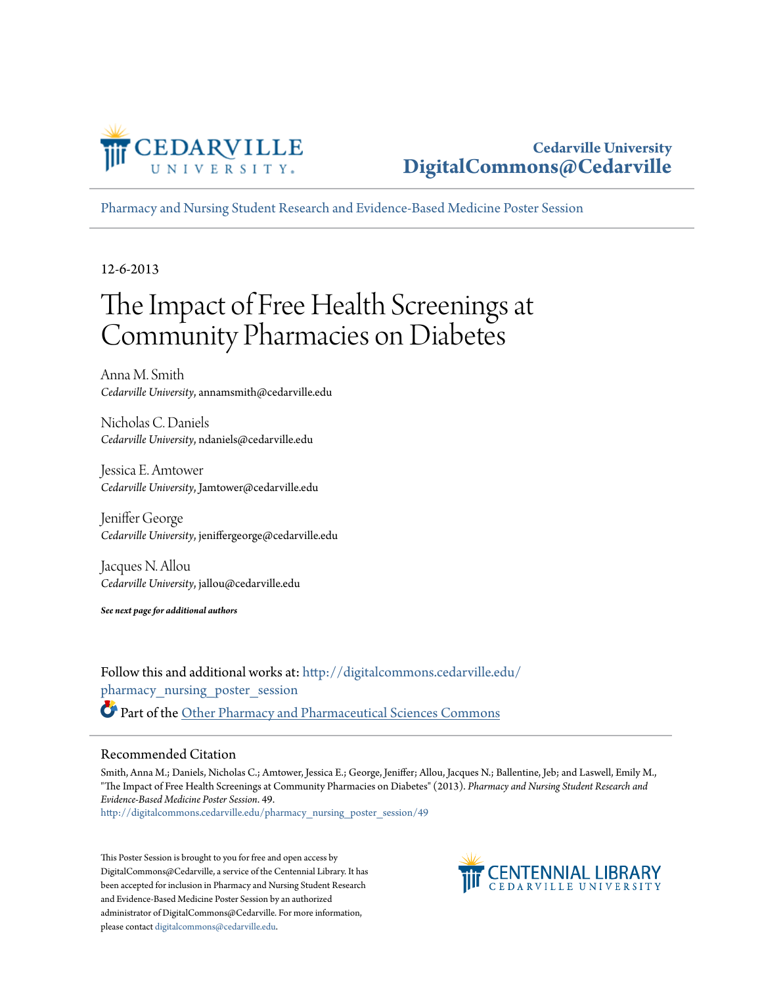

## **Cedarville University [DigitalCommons@Cedarville](http://digitalcommons.cedarville.edu?utm_source=digitalcommons.cedarville.edu%2Fpharmacy_nursing_poster_session%2F49&utm_medium=PDF&utm_campaign=PDFCoverPages)**

[Pharmacy and Nursing Student Research and Evidence-Based Medicine Poster Session](http://digitalcommons.cedarville.edu/pharmacy_nursing_poster_session?utm_source=digitalcommons.cedarville.edu%2Fpharmacy_nursing_poster_session%2F49&utm_medium=PDF&utm_campaign=PDFCoverPages)

12-6-2013

# The Impact of Free Health Screenings at Community Pharmacies on Diabetes

Anna M. Smith *Cedarville University*, annamsmith@cedarville.edu

Nicholas C. Daniels *Cedarville University*, ndaniels@cedarville.edu

Jessica E. Amtower *Cedarville University*, Jamtower@cedarville.edu

Jeniffer George *Cedarville University*, jeniffergeorge@cedarville.edu

Jacques N. Allou *Cedarville University*, jallou@cedarville.edu

*See next page for additional authors*

Follow this and additional works at: [http://digitalcommons.cedarville.edu/](http://digitalcommons.cedarville.edu/pharmacy_nursing_poster_session?utm_source=digitalcommons.cedarville.edu%2Fpharmacy_nursing_poster_session%2F49&utm_medium=PDF&utm_campaign=PDFCoverPages) [pharmacy\\_nursing\\_poster\\_session](http://digitalcommons.cedarville.edu/pharmacy_nursing_poster_session?utm_source=digitalcommons.cedarville.edu%2Fpharmacy_nursing_poster_session%2F49&utm_medium=PDF&utm_campaign=PDFCoverPages) Part of the [Other Pharmacy and Pharmaceutical Sciences Commons](http://network.bepress.com/hgg/discipline/737?utm_source=digitalcommons.cedarville.edu%2Fpharmacy_nursing_poster_session%2F49&utm_medium=PDF&utm_campaign=PDFCoverPages)

### Recommended Citation

Smith, Anna M.; Daniels, Nicholas C.; Amtower, Jessica E.; George, Jeniffer; Allou, Jacques N.; Ballentine, Jeb; and Laswell, Emily M., "The Impact of Free Health Screenings at Community Pharmacies on Diabetes" (2013). *Pharmacy and Nursing Student Research and Evidence-Based Medicine Poster Session*. 49.

[http://digitalcommons.cedarville.edu/pharmacy\\_nursing\\_poster\\_session/49](http://digitalcommons.cedarville.edu/pharmacy_nursing_poster_session/49?utm_source=digitalcommons.cedarville.edu%2Fpharmacy_nursing_poster_session%2F49&utm_medium=PDF&utm_campaign=PDFCoverPages)

This Poster Session is brought to you for free and open access by DigitalCommons@Cedarville, a service of the Centennial Library. It has been accepted for inclusion in Pharmacy and Nursing Student Research and Evidence-Based Medicine Poster Session by an authorized administrator of DigitalCommons@Cedarville. For more information, please contact [digitalcommons@cedarville.edu.](mailto:digitalcommons@cedarville.edu)

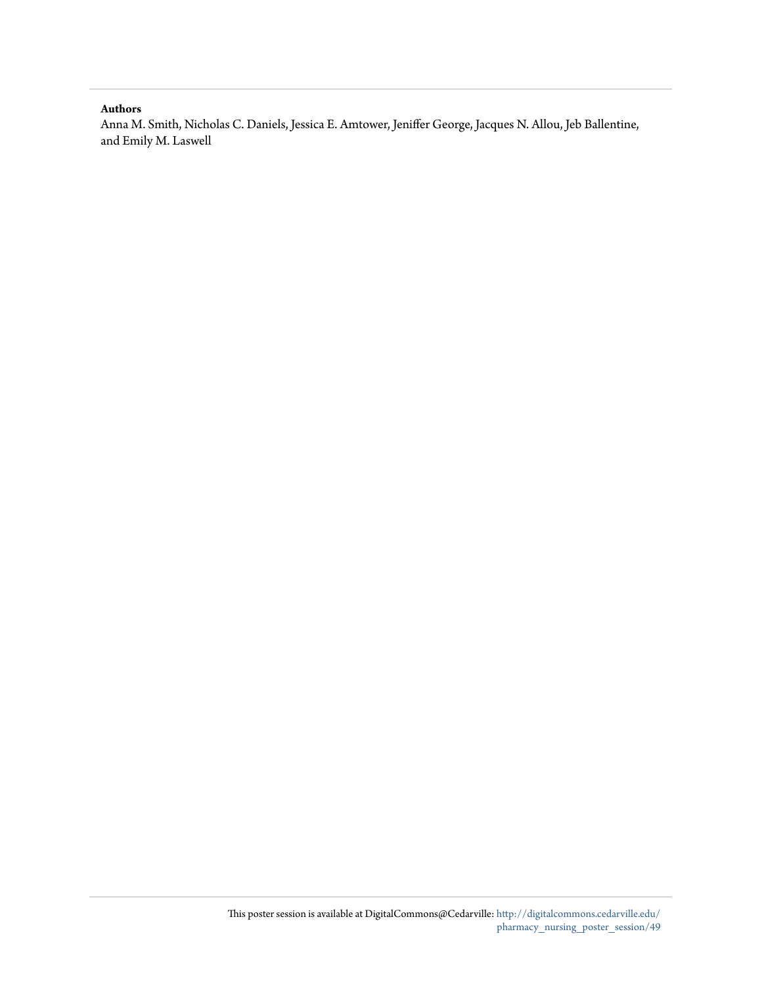#### **Authors**

Anna M. Smith, Nicholas C. Daniels, Jessica E. Amtower, Jeniffer George, Jacques N. Allou, Jeb Ballentine, and Emily M. Laswell